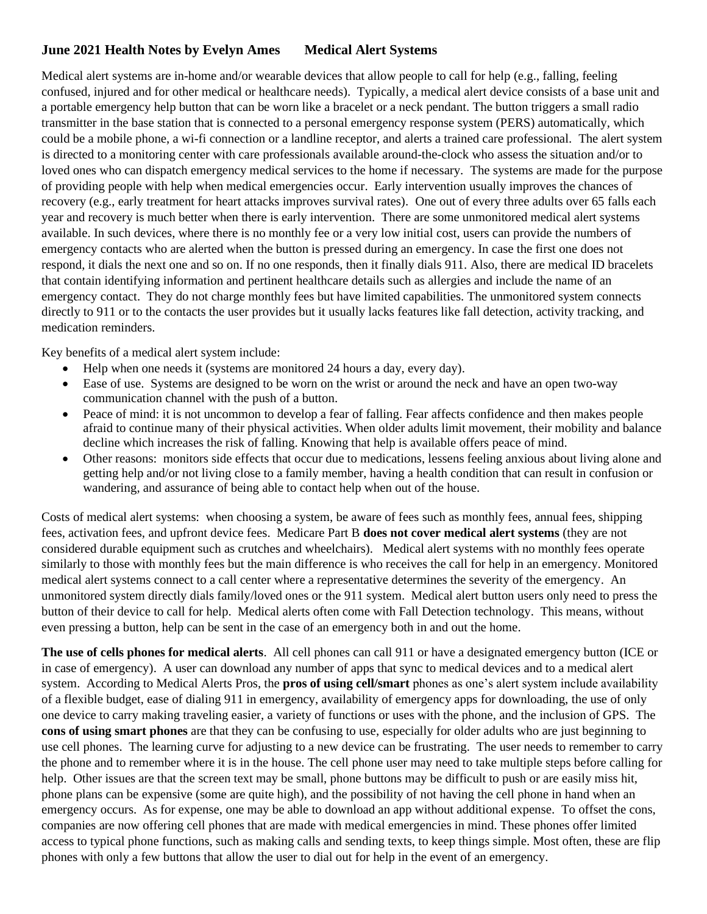## **June 2021 Health Notes by Evelyn Ames Medical Alert Systems**

Medical alert systems are in-home and/or wearable devices that allow people to call for help (e.g., falling, feeling confused, injured and for other medical or healthcare needs). Typically, a medical alert device consists of a base unit and a portable emergency help button that can be worn like a bracelet or a neck pendant. The button triggers a small radio transmitter in the base station that is connected to a personal emergency response system (PERS) automatically, which could be a mobile phone, a wi-fi connection or a landline receptor, and alerts a trained care professional. The alert system is directed to a monitoring center with care professionals available around-the-clock who assess the situation and/or to loved ones who can dispatch emergency medical services to the home if necessary. The systems are made for the purpose of providing people with help when medical emergencies occur. Early intervention usually improves the chances of recovery (e.g., early treatment for heart attacks improves survival rates). One out of every three adults over 65 falls each year and recovery is much better when there is early intervention. There are some unmonitored medical alert systems available. In such devices, where there is no monthly fee or a very low initial cost, users can provide the numbers of emergency contacts who are alerted when the button is pressed during an emergency. In case the first one does not respond, it dials the next one and so on. If no one responds, then it finally dials 911. Also, there are medical ID bracelets that contain identifying information and pertinent healthcare details such as allergies and include the name of an emergency contact. They do not charge monthly fees but have limited capabilities. The unmonitored system connects directly to 911 or to the contacts the user provides but it usually lacks features like fall detection, activity tracking, and medication reminders.

Key benefits of a medical alert system include:

- Help when one needs it (systems are monitored 24 hours a day, every day).
- Ease of use. Systems are designed to be worn on the wrist or around the neck and have an open two-way communication channel with the push of a button.
- Peace of mind: it is not uncommon to develop a fear of falling. Fear affects confidence and then makes people afraid to continue many of their physical activities. When older adults limit movement, their mobility and balance decline which increases the risk of falling. Knowing that help is available offers peace of mind.
- Other reasons: monitors side effects that occur due to medications, lessens feeling anxious about living alone and getting help and/or not living close to a family member, having a health condition that can result in confusion or wandering, and assurance of being able to contact help when out of the house.

Costs of medical alert systems: when choosing a system, be aware of fees such as monthly fees, annual fees, shipping fees, activation fees, and upfront device fees. Medicare Part B **does not cover medical alert systems** (they are not considered durable equipment such as crutches and wheelchairs). Medical alert systems with no monthly fees operate similarly to those with monthly fees but the main difference is who receives the call for help in an emergency. Monitored medical alert systems connect to a call center where a representative determines the severity of the emergency. An unmonitored system directly dials family/loved ones or the 911 system. Medical alert button users only need to press the button of their device to call for help. Medical alerts often come with Fall Detection technology. This means, without even pressing a button, help can be sent in the case of an emergency both in and out the home.

**The use of cells phones for medical alerts**. All cell phones can call 911 or have a designated emergency button (ICE or in case of emergency). A user can download any number of apps that sync to medical devices and to a medical alert system. According to Medical Alerts Pros, the **pros of using cell/smart** phones as one's alert system include availability of a flexible budget, ease of dialing 911 in emergency, availability of emergency apps for downloading, the use of only one device to carry making traveling easier, a variety of functions or uses with the phone, and the inclusion of GPS. The **cons of using smart phones** are that they can be confusing to use, especially for older adults who are just beginning to use cell phones. The learning curve for adjusting to a new device can be frustrating. The user needs to remember to carry the phone and to remember where it is in the house. The cell phone user may need to take multiple steps before calling for help. Other issues are that the screen text may be small, phone buttons may be difficult to push or are easily miss hit, phone plans can be expensive (some are quite high), and the possibility of not having the cell phone in hand when an emergency occurs. As for expense, one may be able to download an app without additional expense. To offset the cons, companies are now offering cell phones that are made with medical emergencies in mind. These phones offer limited access to typical phone functions, such as making calls and sending texts, to keep things simple. Most often, these are flip phones with only a few buttons that allow the user to dial out for help in the event of an emergency.